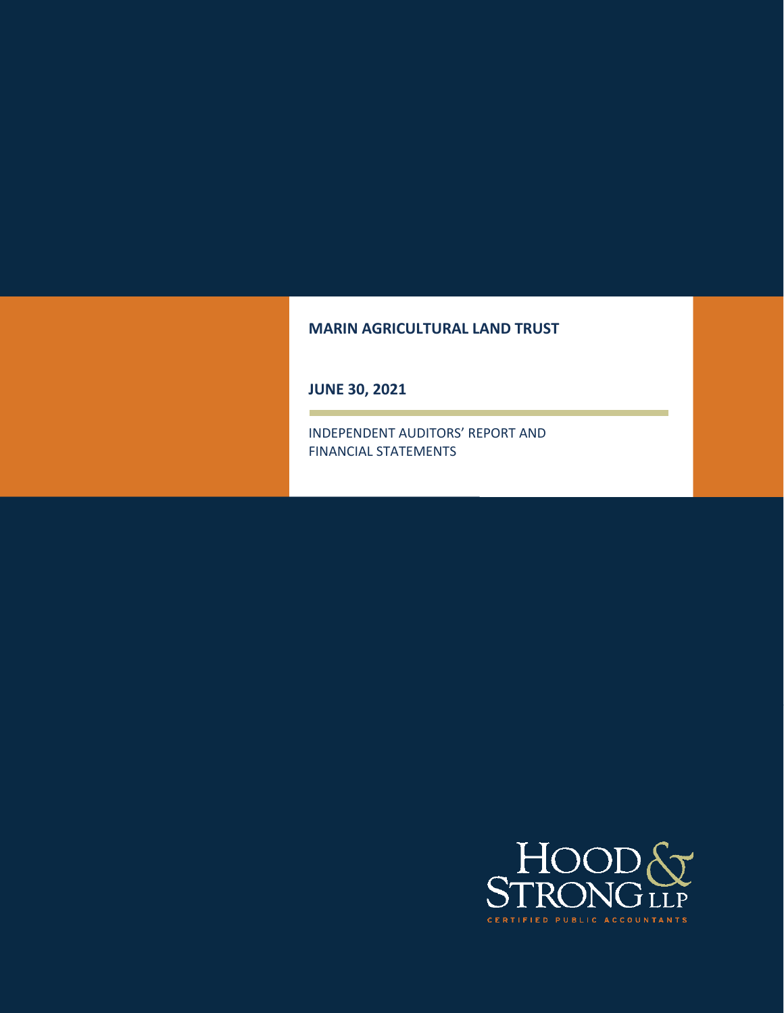#### **MARIN AGRICULTURAL LAND TRUST**

**JUNE 30, 2021** 

INDEPENDENT AUDITORS' REPORT AND FINANCIAL STATEMENTS

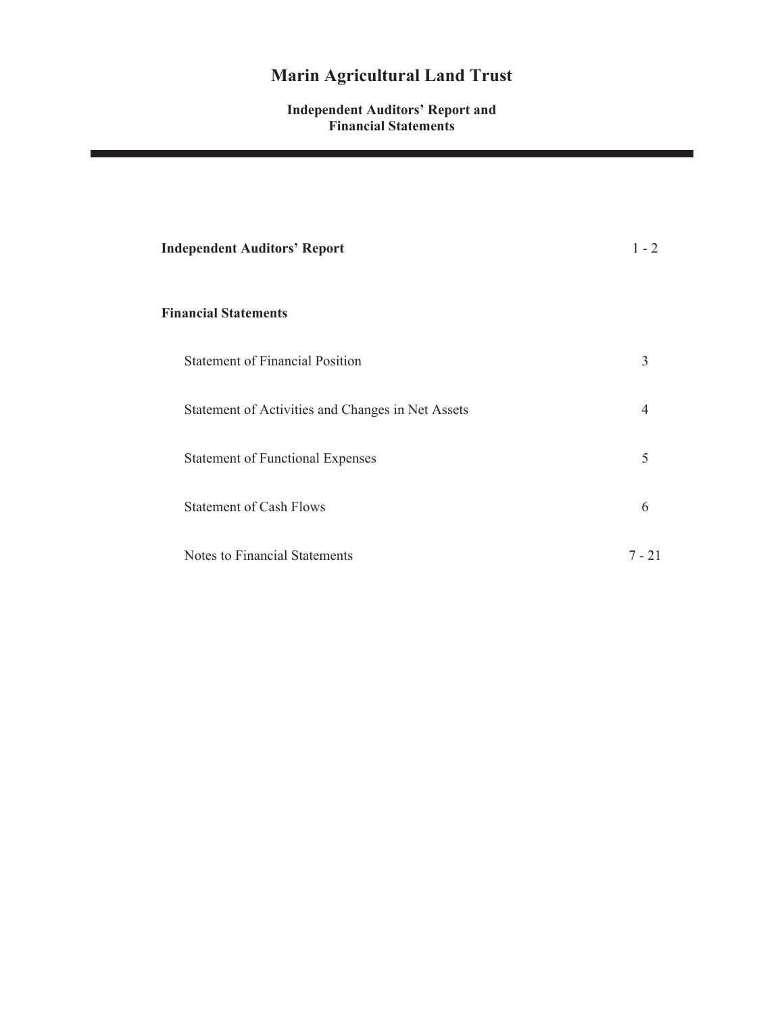#### **Independent Auditors' Report and Financial Statements**

| <b>Independent Auditors' Report</b>               | $1 - 2$  |
|---------------------------------------------------|----------|
| <b>Financial Statements</b>                       |          |
| <b>Statement of Financial Position</b>            | 3        |
| Statement of Activities and Changes in Net Assets | 4        |
| <b>Statement of Functional Expenses</b>           | 5        |
| <b>Statement of Cash Flows</b>                    | 6        |
| Notes to Financial Statements                     | $7 - 21$ |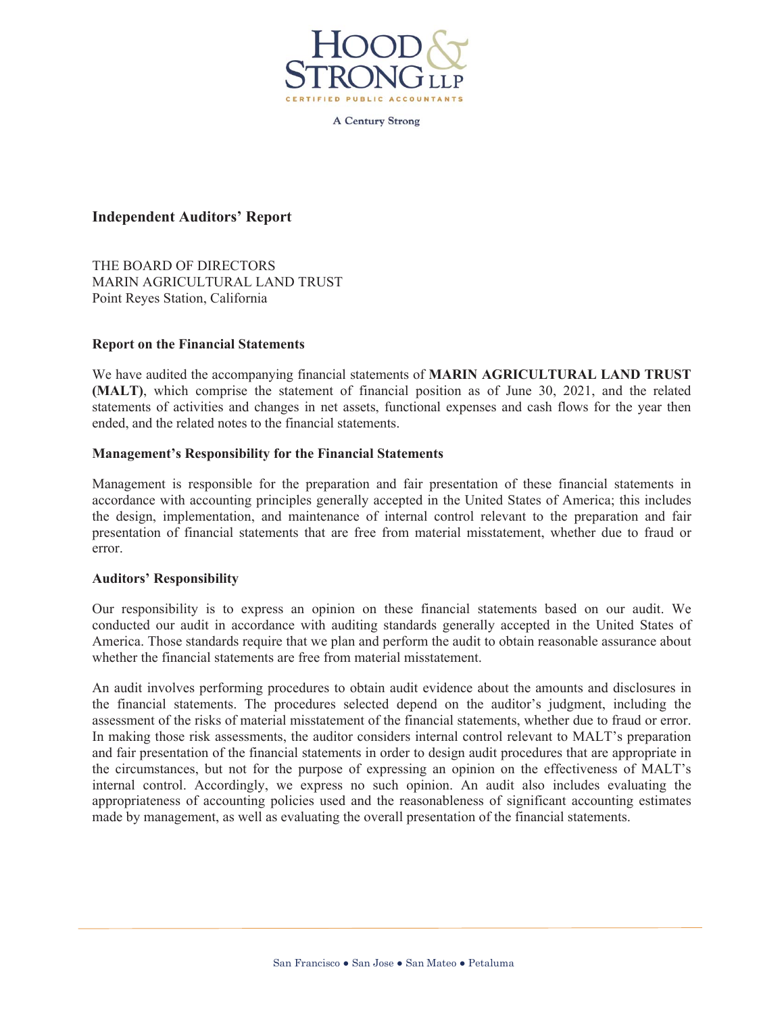

**A Century Strong** 

#### **Independent Auditors' Report**

THE BOARD OF DIRECTORS MARIN AGRICULTURAL LAND TRUST Point Reyes Station, California

#### **Report on the Financial Statements**

We have audited the accompanying financial statements of **MARIN AGRICULTURAL LAND TRUST (MALT)**, which comprise the statement of financial position as of June 30, 2021, and the related statements of activities and changes in net assets, functional expenses and cash flows for the year then ended, and the related notes to the financial statements.

#### **Management's Responsibility for the Financial Statements**

Management is responsible for the preparation and fair presentation of these financial statements in accordance with accounting principles generally accepted in the United States of America; this includes the design, implementation, and maintenance of internal control relevant to the preparation and fair presentation of financial statements that are free from material misstatement, whether due to fraud or error.

#### **Auditors' Responsibility**

Our responsibility is to express an opinion on these financial statements based on our audit. We conducted our audit in accordance with auditing standards generally accepted in the United States of America. Those standards require that we plan and perform the audit to obtain reasonable assurance about whether the financial statements are free from material misstatement.

An audit involves performing procedures to obtain audit evidence about the amounts and disclosures in the financial statements. The procedures selected depend on the auditor's judgment, including the assessment of the risks of material misstatement of the financial statements, whether due to fraud or error. In making those risk assessments, the auditor considers internal control relevant to MALT's preparation and fair presentation of the financial statements in order to design audit procedures that are appropriate in the circumstances, but not for the purpose of expressing an opinion on the effectiveness of MALT's internal control. Accordingly, we express no such opinion. An audit also includes evaluating the appropriateness of accounting policies used and the reasonableness of significant accounting estimates made by management, as well as evaluating the overall presentation of the financial statements.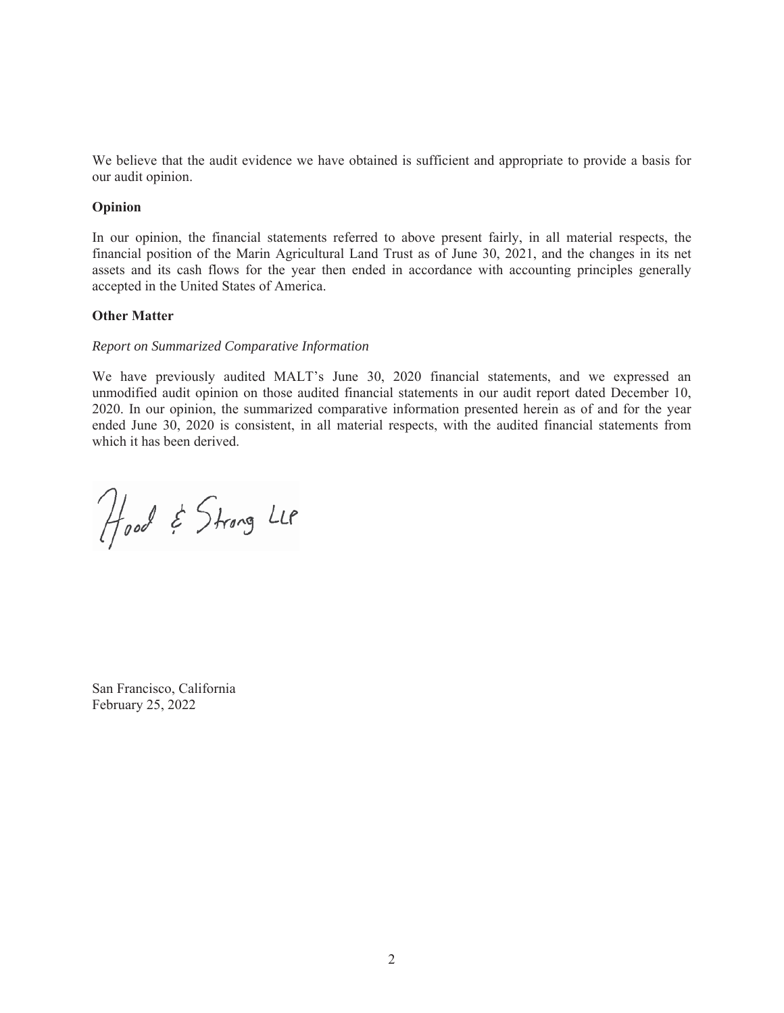We believe that the audit evidence we have obtained is sufficient and appropriate to provide a basis for our audit opinion.

#### **Opinion**

In our opinion, the financial statements referred to above present fairly, in all material respects, the financial position of the Marin Agricultural Land Trust as of June 30, 2021, and the changes in its net assets and its cash flows for the year then ended in accordance with accounting principles generally accepted in the United States of America.

#### **Other Matter**

#### *Report on Summarized Comparative Information*

We have previously audited MALT's June 30, 2020 financial statements, and we expressed an unmodified audit opinion on those audited financial statements in our audit report dated December 10, 2020. In our opinion, the summarized comparative information presented herein as of and for the year ended June 30, 2020 is consistent, in all material respects, with the audited financial statements from which it has been derived.

Hood & Strong LLP

San Francisco, California February 25, 2022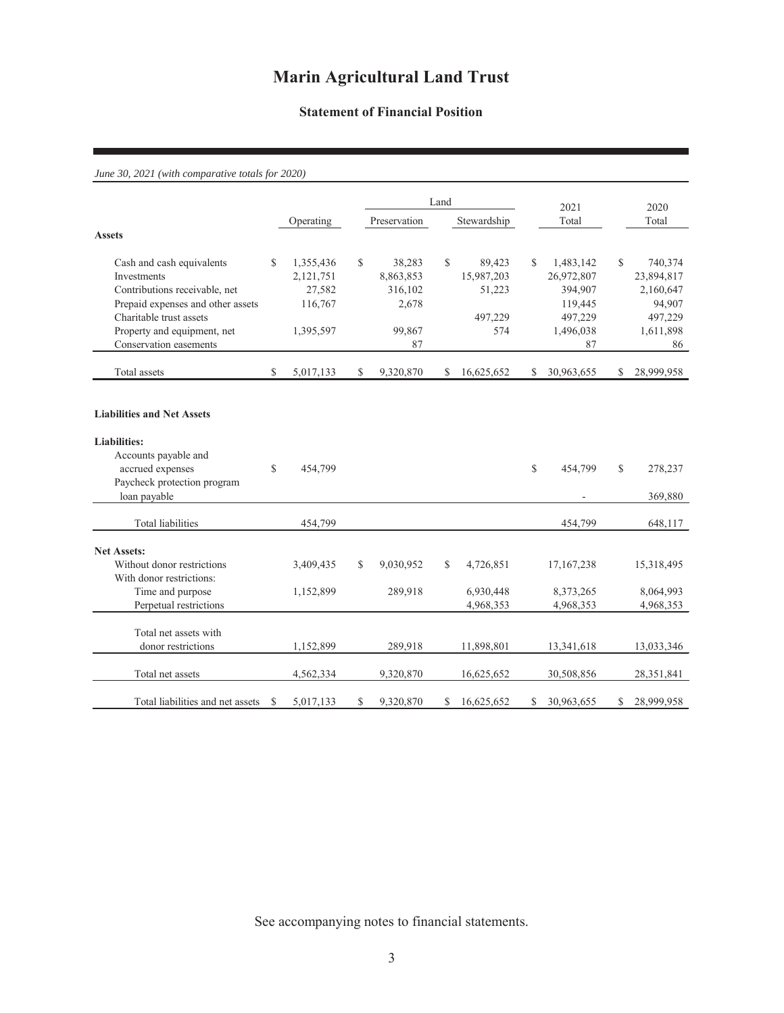#### **Statement of Financial Position**

#### *June 30, 2021 (with comparative totals for 2020)*

|                                   |     |           |     |              | Land          |             |     | 2021         |              | 2020         |
|-----------------------------------|-----|-----------|-----|--------------|---------------|-------------|-----|--------------|--------------|--------------|
|                                   |     | Operating |     | Preservation |               | Stewardship |     | Total        |              | Total        |
| <b>Assets</b>                     |     |           |     |              |               |             |     |              |              |              |
| Cash and cash equivalents         | \$. | 1,355,436 | \$. | 38,283       | $\mathcal{S}$ | 89,423      | \$. | 1,483,142    | $\mathbb{S}$ | 740,374      |
| Investments                       |     | 2,121,751 |     | 8,863,853    |               | 15,987,203  |     | 26,972,807   |              | 23,894,817   |
| Contributions receivable, net     |     | 27,582    |     | 316,102      |               | 51,223      |     | 394,907      |              | 2,160,647    |
| Prepaid expenses and other assets |     | 116,767   |     | 2,678        |               |             |     | 119,445      |              | 94,907       |
| Charitable trust assets           |     |           |     |              |               | 497,229     |     | 497,229      |              | 497,229      |
| Property and equipment, net       |     | 1,395,597 |     | 99,867       |               | 574         |     | 1,496,038    |              | 1,611,898    |
| Conservation easements            |     |           |     | 87           |               |             |     | 87           |              | 86           |
| Total assets                      | \$  | 5,017,133 | \$  | 9,320,870    | \$            | 16,625,652  | \$  | 30,963,655   | S.           | 28,999,958   |
|                                   |     |           |     |              |               |             |     |              |              |              |
| <b>Liabilities and Net Assets</b> |     |           |     |              |               |             |     |              |              |              |
| <b>Liabilities:</b>               |     |           |     |              |               |             |     |              |              |              |
| Accounts payable and              |     |           |     |              |               |             |     |              |              |              |
| accrued expenses                  | \$  | 454,799   |     |              |               |             | \$  | 454,799      | \$           | 278,237      |
| Paycheck protection program       |     |           |     |              |               |             |     |              |              |              |
| loan payable                      |     |           |     |              |               |             |     |              |              | 369,880      |
| <b>Total liabilities</b>          |     | 454,799   |     |              |               |             |     | 454,799      |              | 648,117      |
| <b>Net Assets:</b>                |     |           |     |              |               |             |     |              |              |              |
| Without donor restrictions        |     | 3,409,435 | \$. | 9,030,952    | S.            | 4,726,851   |     | 17, 167, 238 |              | 15,318,495   |
| With donor restrictions:          |     |           |     |              |               |             |     |              |              |              |
| Time and purpose                  |     | 1,152,899 |     | 289,918      |               | 6,930,448   |     | 8,373,265    |              | 8,064,993    |
| Perpetual restrictions            |     |           |     |              |               | 4,968,353   |     | 4,968,353    |              | 4,968,353    |
| Total net assets with             |     |           |     |              |               |             |     |              |              |              |
| donor restrictions                |     | 1,152,899 |     | 289,918      |               | 11,898,801  |     | 13,341,618   |              | 13,033,346   |
|                                   |     |           |     |              |               |             |     |              |              |              |
| Total net assets                  |     | 4,562,334 |     | 9,320,870    |               | 16,625,652  |     | 30,508,856   |              | 28, 351, 841 |
| Total liabilities and net assets  | S   | 5,017,133 | \$  | 9,320,870    | \$            | 16,625,652  | \$  | 30,963,655   | \$           | 28,999,958   |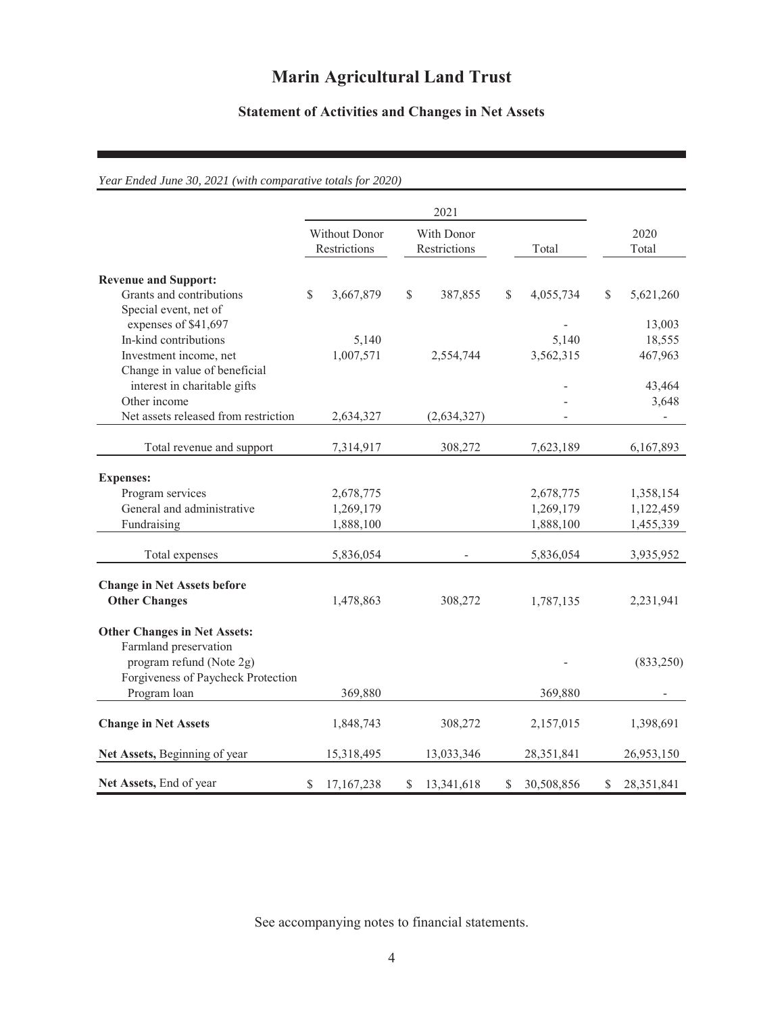### **Statement of Activities and Changes in Net Assets**

### *Year Ended June 30, 2021 (with comparative totals for 2020)*

|                                                                                         |                               |            | 2021                       |             |       |            |    |                   |
|-----------------------------------------------------------------------------------------|-------------------------------|------------|----------------------------|-------------|-------|------------|----|-------------------|
|                                                                                         | Without Donor<br>Restrictions |            | With Donor<br>Restrictions |             | Total |            |    | 2020<br>Total     |
| <b>Revenue and Support:</b><br>Grants and contributions<br>Special event, net of        | \$                            | 3,667,879  | $\mathbb{S}$               | 387,855     | \$    | 4,055,734  | \$ | 5,621,260         |
| expenses of \$41,697<br>In-kind contributions                                           |                               | 5,140      |                            |             |       | 5,140      |    | 13,003<br>18,555  |
| Investment income, net<br>Change in value of beneficial<br>interest in charitable gifts |                               | 1,007,571  |                            | 2,554,744   |       | 3,562,315  |    | 467,963<br>43,464 |
| Other income<br>Net assets released from restriction                                    |                               | 2,634,327  |                            | (2,634,327) |       |            |    | 3,648<br>÷,       |
| Total revenue and support                                                               |                               | 7,314,917  |                            | 308,272     |       | 7,623,189  |    | 6,167,893         |
| <b>Expenses:</b>                                                                        |                               |            |                            |             |       |            |    |                   |
| Program services                                                                        |                               | 2,678,775  |                            |             |       | 2,678,775  |    | 1,358,154         |
| General and administrative                                                              |                               | 1,269,179  |                            |             |       | 1,269,179  |    | 1,122,459         |
| Fundraising                                                                             |                               | 1,888,100  |                            |             |       | 1,888,100  |    | 1,455,339         |
| Total expenses                                                                          |                               | 5,836,054  |                            |             |       | 5,836,054  |    | 3,935,952         |
| <b>Change in Net Assets before</b>                                                      |                               |            |                            |             |       |            |    |                   |
| <b>Other Changes</b>                                                                    |                               | 1,478,863  |                            | 308,272     |       | 1,787,135  |    | 2,231,941         |
| <b>Other Changes in Net Assets:</b><br>Farmland preservation                            |                               |            |                            |             |       |            |    |                   |
| program refund (Note 2g)                                                                |                               |            |                            |             |       |            |    | (833,250)         |
| Forgiveness of Paycheck Protection                                                      |                               |            |                            |             |       |            |    |                   |
| Program loan                                                                            |                               | 369,880    |                            |             |       | 369,880    |    |                   |
| <b>Change in Net Assets</b>                                                             |                               | 1,848,743  |                            | 308,272     |       | 2,157,015  |    | 1,398,691         |
| Net Assets, Beginning of year                                                           |                               | 15,318,495 |                            | 13,033,346  |       | 28,351,841 |    | 26,953,150        |
| Net Assets, End of year                                                                 | \$                            | 17,167,238 | \$                         | 13,341,618  | \$    | 30,508,856 | \$ | 28,351,841        |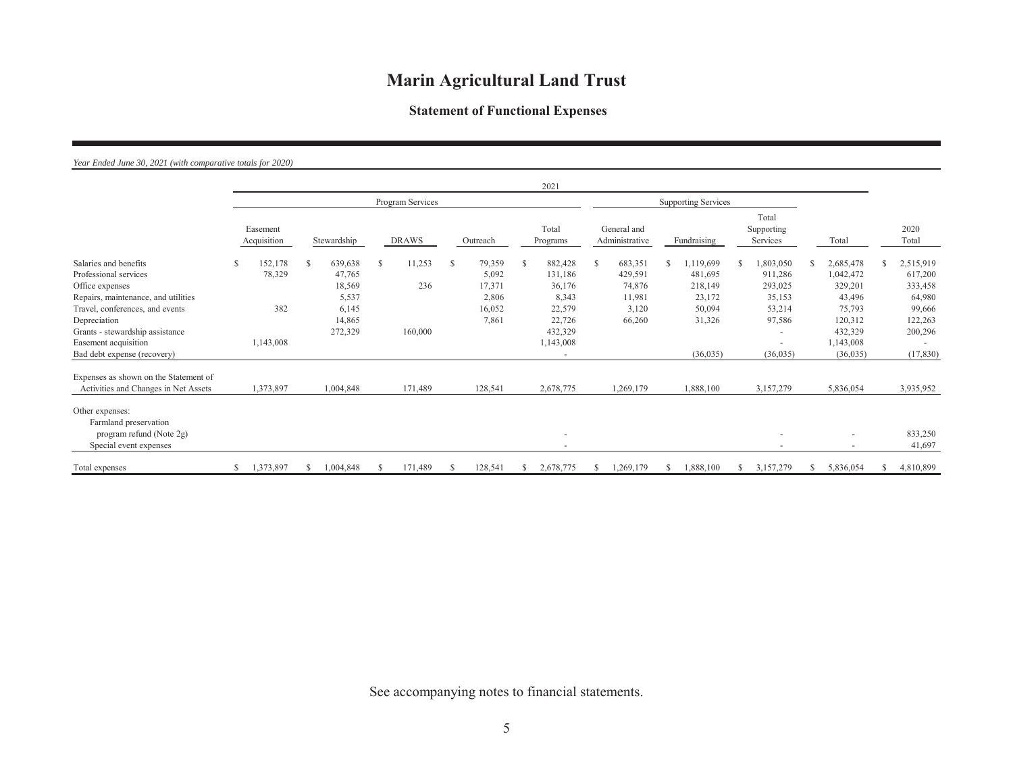### **Statement of Functional Expenses**

#### *Year Ended June 30, 2021 (with comparative totals for 2020)*

|                                                                                                |   |                         |   |                   |   |                  |   |                 |     | 2021                                                 |              |                               |   |                            |               |                                 |                        |                      |
|------------------------------------------------------------------------------------------------|---|-------------------------|---|-------------------|---|------------------|---|-----------------|-----|------------------------------------------------------|--------------|-------------------------------|---|----------------------------|---------------|---------------------------------|------------------------|----------------------|
|                                                                                                |   |                         |   |                   |   | Program Services |   |                 |     |                                                      |              |                               |   | <b>Supporting Services</b> |               |                                 |                        |                      |
|                                                                                                |   | Easement<br>Acquisition |   | Stewardship       |   | <b>DRAWS</b>     |   | Outreach        |     | Total<br>Programs                                    |              | General and<br>Administrative |   | Fundraising                |               | Total<br>Supporting<br>Services | Total                  | 2020<br>Total        |
| Salaries and benefits<br>Professional services                                                 |   | 152,178<br>78,329       | S | 639,638<br>47,765 | S | 11,253           | S | 79,359<br>5,092 | \$. | 882,428<br>131,186                                   | <sup>S</sup> | 683,351<br>429,591            | S | 1,119,699<br>481,695       | <sup>\$</sup> | 1,803,050<br>911,286            | 2,685,478<br>1,042,472 | 2,515,919<br>617,200 |
| Office expenses<br>Repairs, maintenance, and utilities                                         |   |                         |   | 18,569<br>5,537   |   | 236              |   | 17,371<br>2,806 |     | 36,176<br>8,343                                      |              | 74,876<br>11,981              |   | 218,149<br>23,172          |               | 293,025<br>35,153               | 329,201<br>43,496      | 333,458<br>64,980    |
| Travel, conferences, and events<br>Depreciation                                                |   | 382                     |   | 6,145<br>14,865   |   |                  |   | 16,052<br>7,861 |     | 22,579<br>22,726                                     |              | 3,120<br>66,260               |   | 50,094<br>31,326           |               | 53,214<br>97,586                | 75,793<br>120,312      | 99,666<br>122,263    |
| Grants - stewardship assistance<br>Easement acquisition                                        |   | 1,143,008               |   | 272,329           |   | 160,000          |   |                 |     | 432,329<br>1,143,008                                 |              |                               |   |                            |               |                                 | 432,329<br>1,143,008   | 200,296              |
| Bad debt expense (recovery)                                                                    |   |                         |   |                   |   |                  |   |                 |     |                                                      |              |                               |   | (36,035)                   |               | (36,035)                        | (36,035)               | (17, 830)            |
| Expenses as shown on the Statement of<br>Activities and Changes in Net Assets                  |   | 1,373,897               |   | 1,004,848         |   | 171,489          |   | 128,541         |     | 2,678,775                                            |              | 1,269,179                     |   | 1,888,100                  |               | 3,157,279                       | 5,836,054              | 3,935,952            |
| Other expenses:<br>Farmland preservation<br>program refund (Note 2g)<br>Special event expenses |   |                         |   |                   |   |                  |   |                 |     | $\overline{\phantom{a}}$<br>$\overline{\phantom{a}}$ |              |                               |   |                            |               | $\overline{\phantom{a}}$        | $\sim$                 | 833,250<br>41,697    |
| Total expenses                                                                                 | S | 1,373,897               |   | 1,004,848         |   | 171,489          |   | 128,541         | S   | 2,678,775                                            | S            | 1,269,179                     |   | 1,888,100                  |               | 3,157,279                       | 5,836,054              | 4,810,899            |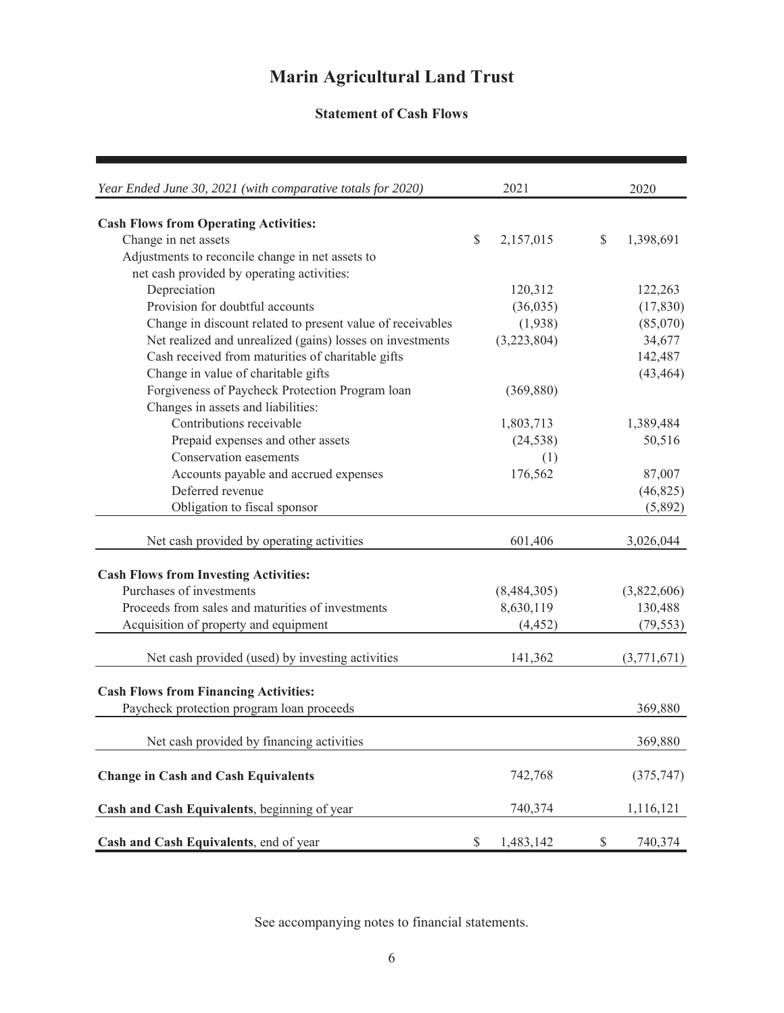### **Statement of Cash Flows**

| Year Ended June 30, 2021 (with comparative totals for 2020) |                                                                       | 2021        | 2020            |
|-------------------------------------------------------------|-----------------------------------------------------------------------|-------------|-----------------|
| <b>Cash Flows from Operating Activities:</b>                |                                                                       |             |                 |
| Change in net assets                                        | \$                                                                    | 2,157,015   | \$<br>1,398,691 |
| Adjustments to reconcile change in net assets to            |                                                                       |             |                 |
| net cash provided by operating activities:                  |                                                                       |             |                 |
| Depreciation                                                |                                                                       | 120,312     | 122,263         |
| Provision for doubtful accounts                             |                                                                       | (36,035)    | (17, 830)       |
| Change in discount related to present value of receivables  |                                                                       | (1,938)     | (85,070)        |
| Net realized and unrealized (gains) losses on investments   |                                                                       | (3,223,804) | 34,677          |
| Cash received from maturities of charitable gifts           |                                                                       |             | 142,487         |
| Change in value of charitable gifts                         |                                                                       |             | (43, 464)       |
| Forgiveness of Paycheck Protection Program loan             |                                                                       | (369, 880)  |                 |
| Changes in assets and liabilities:                          |                                                                       |             |                 |
| Contributions receivable                                    |                                                                       | 1,803,713   | 1,389,484       |
| Prepaid expenses and other assets                           |                                                                       | (24, 538)   | 50,516          |
| Conservation easements                                      |                                                                       | (1)         |                 |
| Accounts payable and accrued expenses                       |                                                                       | 176,562     | 87,007          |
| Deferred revenue                                            |                                                                       |             | (46, 825)       |
| Obligation to fiscal sponsor                                |                                                                       |             | (5,892)         |
|                                                             |                                                                       |             |                 |
| Net cash provided by operating activities                   |                                                                       | 601,406     | 3,026,044       |
| <b>Cash Flows from Investing Activities:</b>                |                                                                       |             |                 |
| Purchases of investments                                    |                                                                       | (8,484,305) | (3,822,606)     |
| Proceeds from sales and maturities of investments           |                                                                       | 8,630,119   | 130,488         |
| Acquisition of property and equipment                       |                                                                       | (4, 452)    | (79, 553)       |
|                                                             |                                                                       |             |                 |
| Net cash provided (used) by investing activities            |                                                                       | 141,362     | (3,771,671)     |
| <b>Cash Flows from Financing Activities:</b>                |                                                                       |             |                 |
| Paycheck protection program loan proceeds                   |                                                                       |             | 369,880         |
|                                                             |                                                                       |             |                 |
| Net cash provided by financing activities                   |                                                                       |             | 369,880         |
| <b>Change in Cash and Cash Equivalents</b>                  |                                                                       | 742,768     | (375, 747)      |
| Cash and Cash Equivalents, beginning of year                |                                                                       | 740,374     | 1,116,121       |
| Cash and Cash Equivalents, end of year                      | $\mathbb{S}% _{t}\left( t\right) \equiv\mathbb{S}_{t}\left( t\right)$ | 1,483,142   | \$<br>740,374   |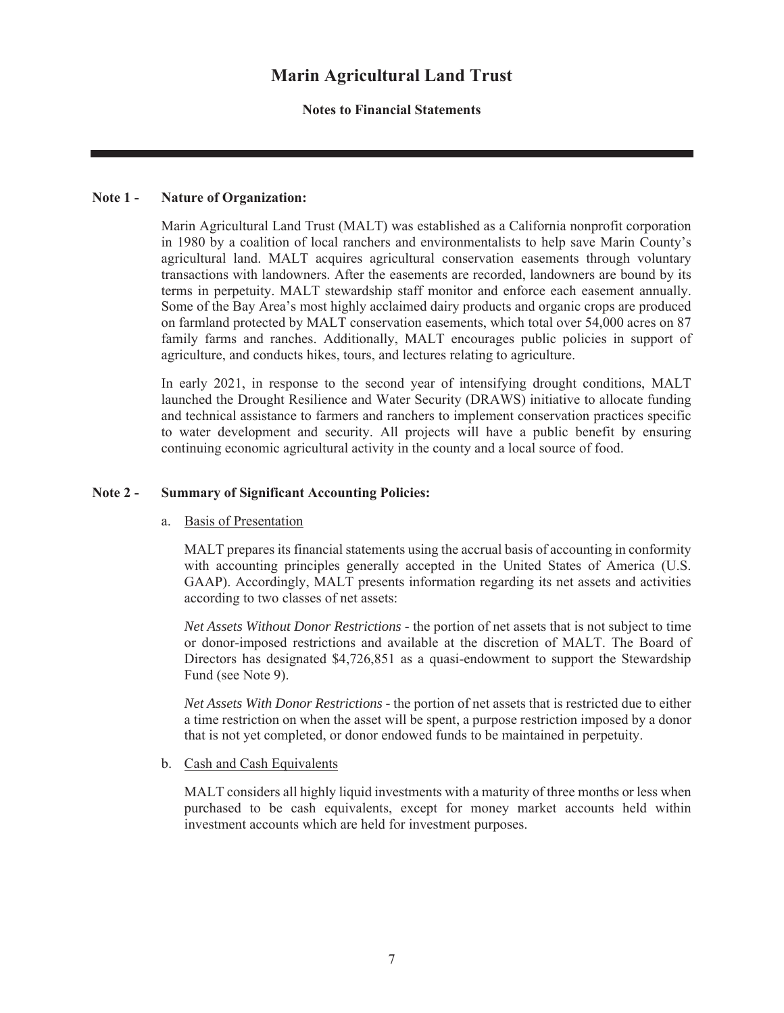#### **Notes to Financial Statements**

#### **Note 1 - Nature of Organization:**

Marin Agricultural Land Trust (MALT) was established as a California nonprofit corporation in 1980 by a coalition of local ranchers and environmentalists to help save Marin County's agricultural land. MALT acquires agricultural conservation easements through voluntary transactions with landowners. After the easements are recorded, landowners are bound by its terms in perpetuity. MALT stewardship staff monitor and enforce each easement annually. Some of the Bay Area's most highly acclaimed dairy products and organic crops are produced on farmland protected by MALT conservation easements, which total over 54,000 acres on 87 family farms and ranches. Additionally, MALT encourages public policies in support of agriculture, and conducts hikes, tours, and lectures relating to agriculture.

In early 2021, in response to the second year of intensifying drought conditions, MALT launched the Drought Resilience and Water Security (DRAWS) initiative to allocate funding and technical assistance to farmers and ranchers to implement conservation practices specific to water development and security. All projects will have a public benefit by ensuring continuing economic agricultural activity in the county and a local source of food.

#### **Note 2 - Summary of Significant Accounting Policies:**

#### a. Basis of Presentation

MALT prepares its financial statements using the accrual basis of accounting in conformity with accounting principles generally accepted in the United States of America (U.S. GAAP). Accordingly, MALT presents information regarding its net assets and activities according to two classes of net assets:

*Net Assets Without Donor Restrictions* - the portion of net assets that is not subject to time or donor-imposed restrictions and available at the discretion of MALT. The Board of Directors has designated \$4,726,851 as a quasi-endowment to support the Stewardship Fund (see Note 9).

*Net Assets With Donor Restrictions -* the portion of net assets that is restricted due to either a time restriction on when the asset will be spent, a purpose restriction imposed by a donor that is not yet completed, or donor endowed funds to be maintained in perpetuity.

#### b. Cash and Cash Equivalents

MALT considers all highly liquid investments with a maturity of three months or less when purchased to be cash equivalents, except for money market accounts held within investment accounts which are held for investment purposes.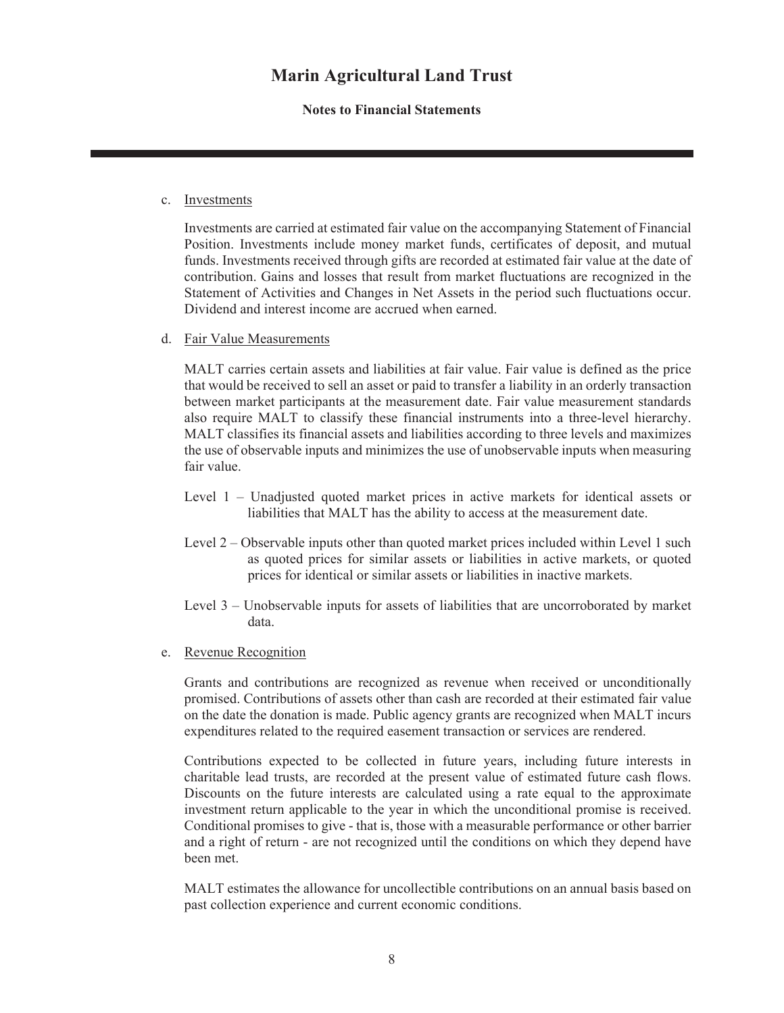#### **Notes to Financial Statements**

#### c. Investments

Investments are carried at estimated fair value on the accompanying Statement of Financial Position. Investments include money market funds, certificates of deposit, and mutual funds. Investments received through gifts are recorded at estimated fair value at the date of contribution. Gains and losses that result from market fluctuations are recognized in the Statement of Activities and Changes in Net Assets in the period such fluctuations occur. Dividend and interest income are accrued when earned.

d. Fair Value Measurements

MALT carries certain assets and liabilities at fair value. Fair value is defined as the price that would be received to sell an asset or paid to transfer a liability in an orderly transaction between market participants at the measurement date. Fair value measurement standards also require MALT to classify these financial instruments into a three-level hierarchy. MALT classifies its financial assets and liabilities according to three levels and maximizes the use of observable inputs and minimizes the use of unobservable inputs when measuring fair value.

- Level 1 Unadjusted quoted market prices in active markets for identical assets or liabilities that MALT has the ability to access at the measurement date.
- Level 2 Observable inputs other than quoted market prices included within Level 1 such as quoted prices for similar assets or liabilities in active markets, or quoted prices for identical or similar assets or liabilities in inactive markets.
- Level 3 Unobservable inputs for assets of liabilities that are uncorroborated by market data.
- e. Revenue Recognition

Grants and contributions are recognized as revenue when received or unconditionally promised. Contributions of assets other than cash are recorded at their estimated fair value on the date the donation is made. Public agency grants are recognized when MALT incurs expenditures related to the required easement transaction or services are rendered.

Contributions expected to be collected in future years, including future interests in charitable lead trusts, are recorded at the present value of estimated future cash flows. Discounts on the future interests are calculated using a rate equal to the approximate investment return applicable to the year in which the unconditional promise is received. Conditional promises to give - that is, those with a measurable performance or other barrier and a right of return - are not recognized until the conditions on which they depend have been met.

MALT estimates the allowance for uncollectible contributions on an annual basis based on past collection experience and current economic conditions.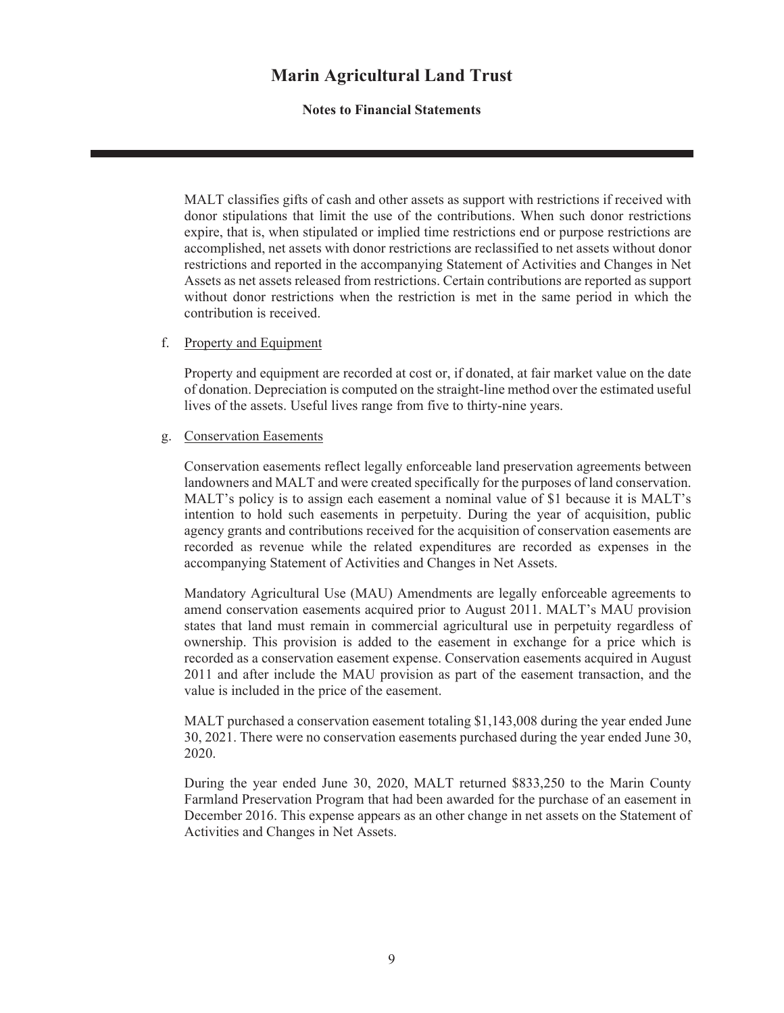#### **Notes to Financial Statements**

MALT classifies gifts of cash and other assets as support with restrictions if received with donor stipulations that limit the use of the contributions. When such donor restrictions expire, that is, when stipulated or implied time restrictions end or purpose restrictions are accomplished, net assets with donor restrictions are reclassified to net assets without donor restrictions and reported in the accompanying Statement of Activities and Changes in Net Assets as net assets released from restrictions. Certain contributions are reported as support without donor restrictions when the restriction is met in the same period in which the contribution is received.

#### f. Property and Equipment

Property and equipment are recorded at cost or, if donated, at fair market value on the date of donation. Depreciation is computed on the straight-line method over the estimated useful lives of the assets. Useful lives range from five to thirty-nine years.

#### g. Conservation Easements

Conservation easements reflect legally enforceable land preservation agreements between landowners and MALT and were created specifically for the purposes of land conservation. MALT's policy is to assign each easement a nominal value of \$1 because it is MALT's intention to hold such easements in perpetuity. During the year of acquisition, public agency grants and contributions received for the acquisition of conservation easements are recorded as revenue while the related expenditures are recorded as expenses in the accompanying Statement of Activities and Changes in Net Assets.

Mandatory Agricultural Use (MAU) Amendments are legally enforceable agreements to amend conservation easements acquired prior to August 2011. MALT's MAU provision states that land must remain in commercial agricultural use in perpetuity regardless of ownership. This provision is added to the easement in exchange for a price which is recorded as a conservation easement expense. Conservation easements acquired in August 2011 and after include the MAU provision as part of the easement transaction, and the value is included in the price of the easement.

MALT purchased a conservation easement totaling \$1,143,008 during the year ended June 30, 2021. There were no conservation easements purchased during the year ended June 30, 2020.

During the year ended June 30, 2020, MALT returned \$833,250 to the Marin County Farmland Preservation Program that had been awarded for the purchase of an easement in December 2016. This expense appears as an other change in net assets on the Statement of Activities and Changes in Net Assets.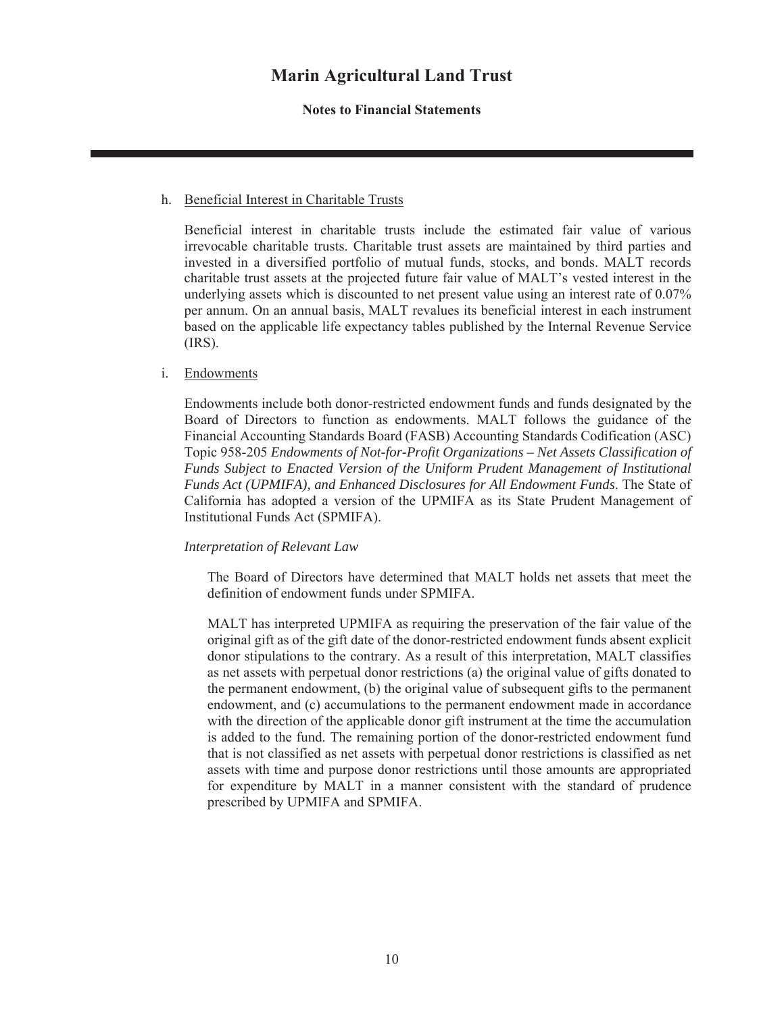#### **Notes to Financial Statements**

#### h. Beneficial Interest in Charitable Trusts

Beneficial interest in charitable trusts include the estimated fair value of various irrevocable charitable trusts. Charitable trust assets are maintained by third parties and invested in a diversified portfolio of mutual funds, stocks, and bonds. MALT records charitable trust assets at the projected future fair value of MALT's vested interest in the underlying assets which is discounted to net present value using an interest rate of 0.07% per annum. On an annual basis, MALT revalues its beneficial interest in each instrument based on the applicable life expectancy tables published by the Internal Revenue Service (IRS).

#### i. Endowments

Endowments include both donor-restricted endowment funds and funds designated by the Board of Directors to function as endowments. MALT follows the guidance of the Financial Accounting Standards Board (FASB) Accounting Standards Codification (ASC) Topic 958-205 *Endowments of Not-for-Profit Organizations – Net Assets Classification of Funds Subject to Enacted Version of the Uniform Prudent Management of Institutional Funds Act (UPMIFA), and Enhanced Disclosures for All Endowment Funds*. The State of California has adopted a version of the UPMIFA as its State Prudent Management of Institutional Funds Act (SPMIFA).

#### *Interpretation of Relevant Law*

The Board of Directors have determined that MALT holds net assets that meet the definition of endowment funds under SPMIFA.

MALT has interpreted UPMIFA as requiring the preservation of the fair value of the original gift as of the gift date of the donor-restricted endowment funds absent explicit donor stipulations to the contrary. As a result of this interpretation, MALT classifies as net assets with perpetual donor restrictions (a) the original value of gifts donated to the permanent endowment, (b) the original value of subsequent gifts to the permanent endowment, and (c) accumulations to the permanent endowment made in accordance with the direction of the applicable donor gift instrument at the time the accumulation is added to the fund. The remaining portion of the donor-restricted endowment fund that is not classified as net assets with perpetual donor restrictions is classified as net assets with time and purpose donor restrictions until those amounts are appropriated for expenditure by MALT in a manner consistent with the standard of prudence prescribed by UPMIFA and SPMIFA.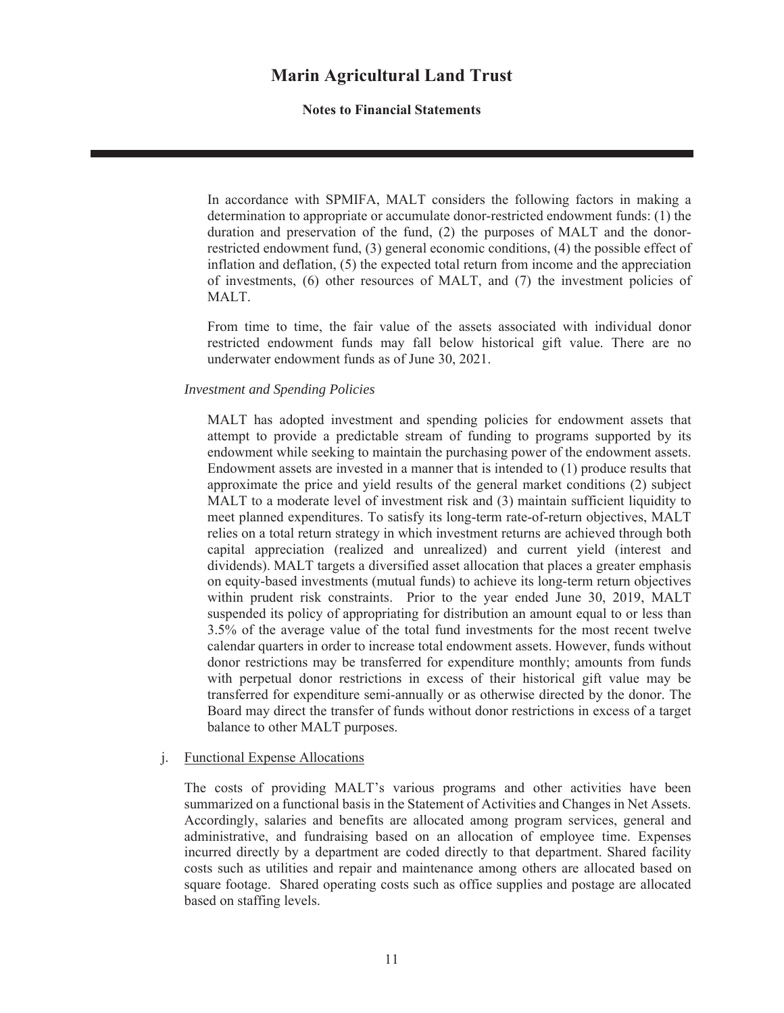**Notes to Financial Statements**

In accordance with SPMIFA, MALT considers the following factors in making a determination to appropriate or accumulate donor-restricted endowment funds: (1) the duration and preservation of the fund, (2) the purposes of MALT and the donorrestricted endowment fund, (3) general economic conditions, (4) the possible effect of inflation and deflation, (5) the expected total return from income and the appreciation of investments, (6) other resources of MALT, and (7) the investment policies of MALT.

From time to time, the fair value of the assets associated with individual donor restricted endowment funds may fall below historical gift value. There are no underwater endowment funds as of June 30, 2021.

#### *Investment and Spending Policies*

MALT has adopted investment and spending policies for endowment assets that attempt to provide a predictable stream of funding to programs supported by its endowment while seeking to maintain the purchasing power of the endowment assets. Endowment assets are invested in a manner that is intended to (1) produce results that approximate the price and yield results of the general market conditions (2) subject MALT to a moderate level of investment risk and (3) maintain sufficient liquidity to meet planned expenditures. To satisfy its long-term rate-of-return objectives, MALT relies on a total return strategy in which investment returns are achieved through both capital appreciation (realized and unrealized) and current yield (interest and dividends). MALT targets a diversified asset allocation that places a greater emphasis on equity-based investments (mutual funds) to achieve its long-term return objectives within prudent risk constraints. Prior to the year ended June 30, 2019, MALT suspended its policy of appropriating for distribution an amount equal to or less than 3.5% of the average value of the total fund investments for the most recent twelve calendar quarters in order to increase total endowment assets. However, funds without donor restrictions may be transferred for expenditure monthly; amounts from funds with perpetual donor restrictions in excess of their historical gift value may be transferred for expenditure semi-annually or as otherwise directed by the donor. The Board may direct the transfer of funds without donor restrictions in excess of a target balance to other MALT purposes.

#### j. Functional Expense Allocations

The costs of providing MALT's various programs and other activities have been summarized on a functional basis in the Statement of Activities and Changes in Net Assets. Accordingly, salaries and benefits are allocated among program services, general and administrative, and fundraising based on an allocation of employee time. Expenses incurred directly by a department are coded directly to that department. Shared facility costs such as utilities and repair and maintenance among others are allocated based on square footage. Shared operating costs such as office supplies and postage are allocated based on staffing levels.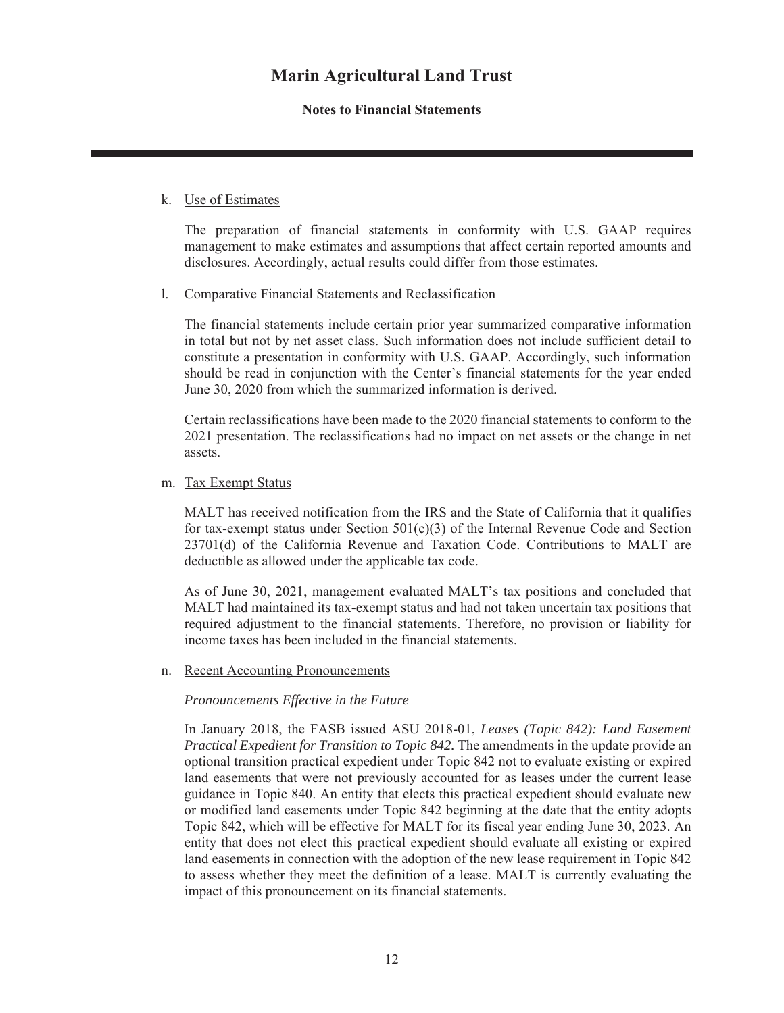#### **Notes to Financial Statements**

#### k. Use of Estimates

The preparation of financial statements in conformity with U.S. GAAP requires management to make estimates and assumptions that affect certain reported amounts and disclosures. Accordingly, actual results could differ from those estimates.

#### l. Comparative Financial Statements and Reclassification

The financial statements include certain prior year summarized comparative information in total but not by net asset class. Such information does not include sufficient detail to constitute a presentation in conformity with U.S. GAAP. Accordingly, such information should be read in conjunction with the Center's financial statements for the year ended June 30, 2020 from which the summarized information is derived.

Certain reclassifications have been made to the 2020 financial statements to conform to the 2021 presentation. The reclassifications had no impact on net assets or the change in net assets.

#### m. Tax Exempt Status

MALT has received notification from the IRS and the State of California that it qualifies for tax-exempt status under Section  $501(c)(3)$  of the Internal Revenue Code and Section 23701(d) of the California Revenue and Taxation Code. Contributions to MALT are deductible as allowed under the applicable tax code.

As of June 30, 2021, management evaluated MALT's tax positions and concluded that MALT had maintained its tax-exempt status and had not taken uncertain tax positions that required adjustment to the financial statements. Therefore, no provision or liability for income taxes has been included in the financial statements.

n. Recent Accounting Pronouncements

#### *Pronouncements Effective in the Future*

In January 2018, the FASB issued ASU 2018-01, *Leases (Topic 842): Land Easement Practical Expedient for Transition to Topic 842.* The amendments in the update provide an optional transition practical expedient under Topic 842 not to evaluate existing or expired land easements that were not previously accounted for as leases under the current lease guidance in Topic 840. An entity that elects this practical expedient should evaluate new or modified land easements under Topic 842 beginning at the date that the entity adopts Topic 842, which will be effective for MALT for its fiscal year ending June 30, 2023. An entity that does not elect this practical expedient should evaluate all existing or expired land easements in connection with the adoption of the new lease requirement in Topic 842 to assess whether they meet the definition of a lease. MALT is currently evaluating the impact of this pronouncement on its financial statements.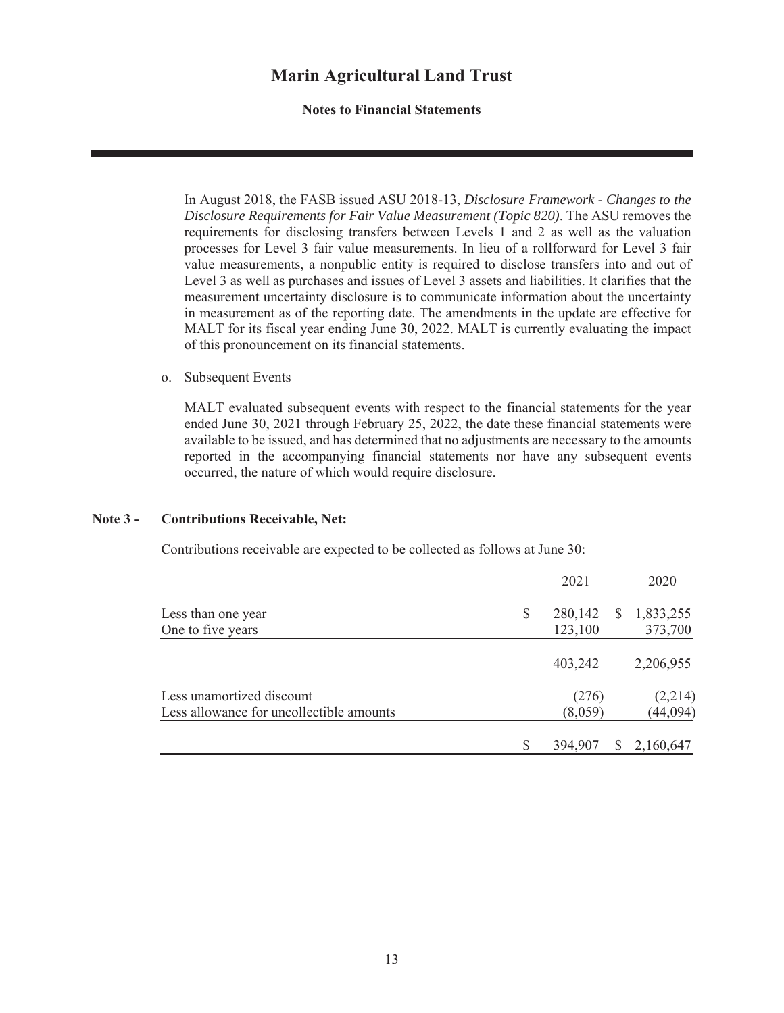#### **Notes to Financial Statements**

In August 2018, the FASB issued ASU 2018-13, *Disclosure Framework - Changes to the Disclosure Requirements for Fair Value Measurement (Topic 820)*. The ASU removes the requirements for disclosing transfers between Levels 1 and 2 as well as the valuation processes for Level 3 fair value measurements. In lieu of a rollforward for Level 3 fair value measurements, a nonpublic entity is required to disclose transfers into and out of Level 3 as well as purchases and issues of Level 3 assets and liabilities. It clarifies that the measurement uncertainty disclosure is to communicate information about the uncertainty in measurement as of the reporting date. The amendments in the update are effective for MALT for its fiscal year ending June 30, 2022. MALT is currently evaluating the impact of this pronouncement on its financial statements.

#### o. Subsequent Events

MALT evaluated subsequent events with respect to the financial statements for the year ended June 30, 2021 through February 25, 2022, the date these financial statements were available to be issued, and has determined that no adjustments are necessary to the amounts reported in the accompanying financial statements nor have any subsequent events occurred, the nature of which would require disclosure.

#### **Note 3 - Contributions Receivable, Net:**

Contributions receivable are expected to be collected as follows at June 30:

|                                          |    | 2021    |              | 2020      |
|------------------------------------------|----|---------|--------------|-----------|
| Less than one year                       | \$ | 280,142 | <sup>S</sup> | 1,833,255 |
| One to five years                        |    | 123,100 |              | 373,700   |
|                                          |    | 403,242 |              | 2,206,955 |
| Less unamortized discount                |    | (276)   |              | (2,214)   |
| Less allowance for uncollectible amounts |    | (8,059) |              | (44, 094) |
|                                          | S  | 394,907 | S            | 2,160,647 |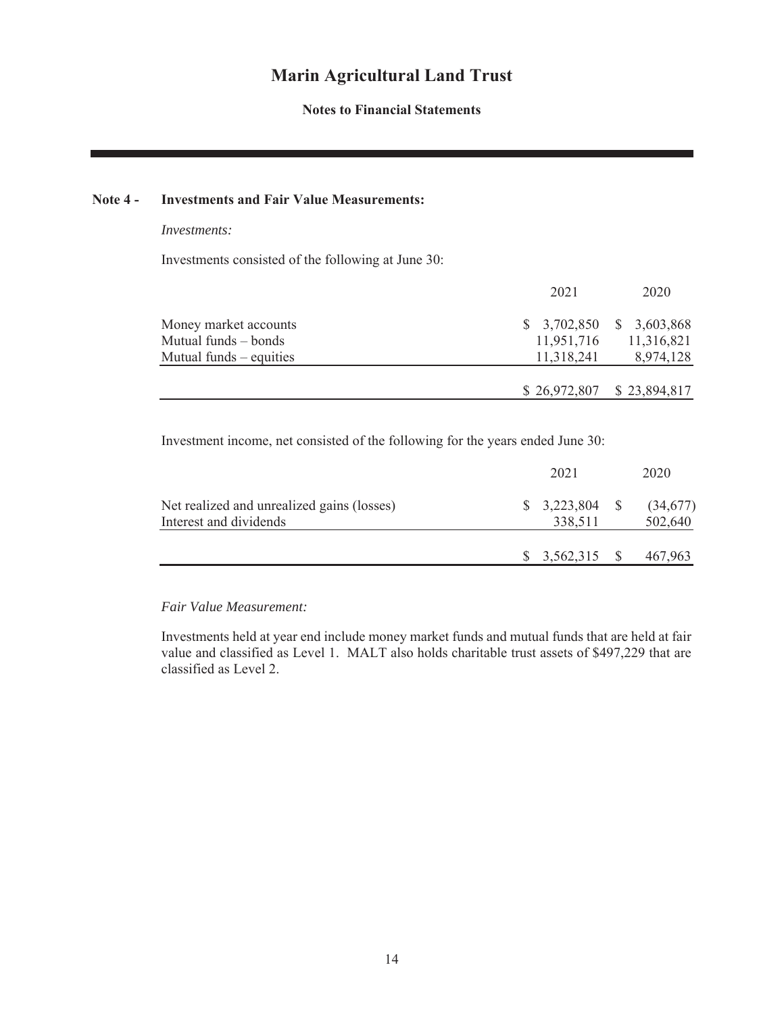#### **Notes to Financial Statements**

#### **Note 4 - Investments and Fair Value Measurements:**

#### *Investments:*

Investments consisted of the following at June 30:

|                           | 2021       | 2020                          |
|---------------------------|------------|-------------------------------|
| Money market accounts     |            | $$3,702,850 \quad $3,603,868$ |
| Mutual funds – bonds      | 11,951,716 | 11,316,821                    |
| Mutual funds $-$ equities | 11,318,241 | 8,974,128                     |
|                           |            |                               |
|                           |            | $$26,972,807$ $$23,894,817$   |

Investment income, net consisted of the following for the years ended June 30:

|                                                                      | 2021            | 2020                |
|----------------------------------------------------------------------|-----------------|---------------------|
| Net realized and unrealized gains (losses)<br>Interest and dividends | 338,511         | (34,677)<br>502,640 |
|                                                                      | $$3,562,315$ \; | 467,963             |

*Fair Value Measurement:*

Investments held at year end include money market funds and mutual funds that are held at fair value and classified as Level 1. MALT also holds charitable trust assets of \$497,229 that are classified as Level 2.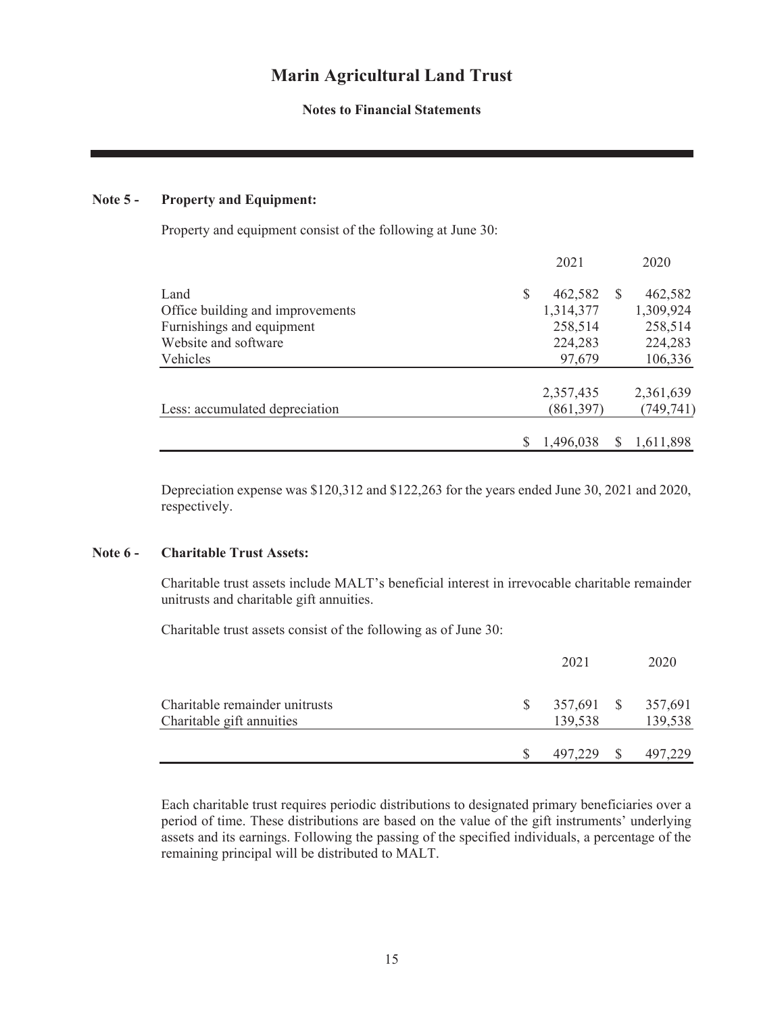#### **Notes to Financial Statements**

#### **Note 5 - Property and Equipment:**

Property and equipment consist of the following at June 30:

|                                  |   | 2021       |               | 2020       |
|----------------------------------|---|------------|---------------|------------|
| Land                             | S | 462,582    | <sup>\$</sup> | 462,582    |
| Office building and improvements |   | 1,314,377  |               | 1,309,924  |
| Furnishings and equipment        |   | 258,514    |               | 258,514    |
| Website and software             |   | 224,283    |               | 224,283    |
| Vehicles                         |   | 97,679     |               | 106,336    |
|                                  |   | 2,357,435  |               | 2,361,639  |
| Less: accumulated depreciation   |   | (861, 397) |               | (749, 741) |
|                                  |   | 1,496,038  |               | 1,611,898  |
|                                  |   |            |               |            |

Depreciation expense was \$120,312 and \$122,263 for the years ended June 30, 2021 and 2020, respectively.

#### **Note 6 - Charitable Trust Assets:**

Charitable trust assets include MALT's beneficial interest in irrevocable charitable remainder unitrusts and charitable gift annuities.

Charitable trust assets consist of the following as of June 30:

|                                                             | 2021                  | 2020               |
|-------------------------------------------------------------|-----------------------|--------------------|
| Charitable remainder unitrusts<br>Charitable gift annuities | 357,691 \$<br>139,538 | 357,691<br>139,538 |
|                                                             | 497,229               | 497,229            |

Each charitable trust requires periodic distributions to designated primary beneficiaries over a period of time. These distributions are based on the value of the gift instruments' underlying assets and its earnings. Following the passing of the specified individuals, a percentage of the remaining principal will be distributed to MALT.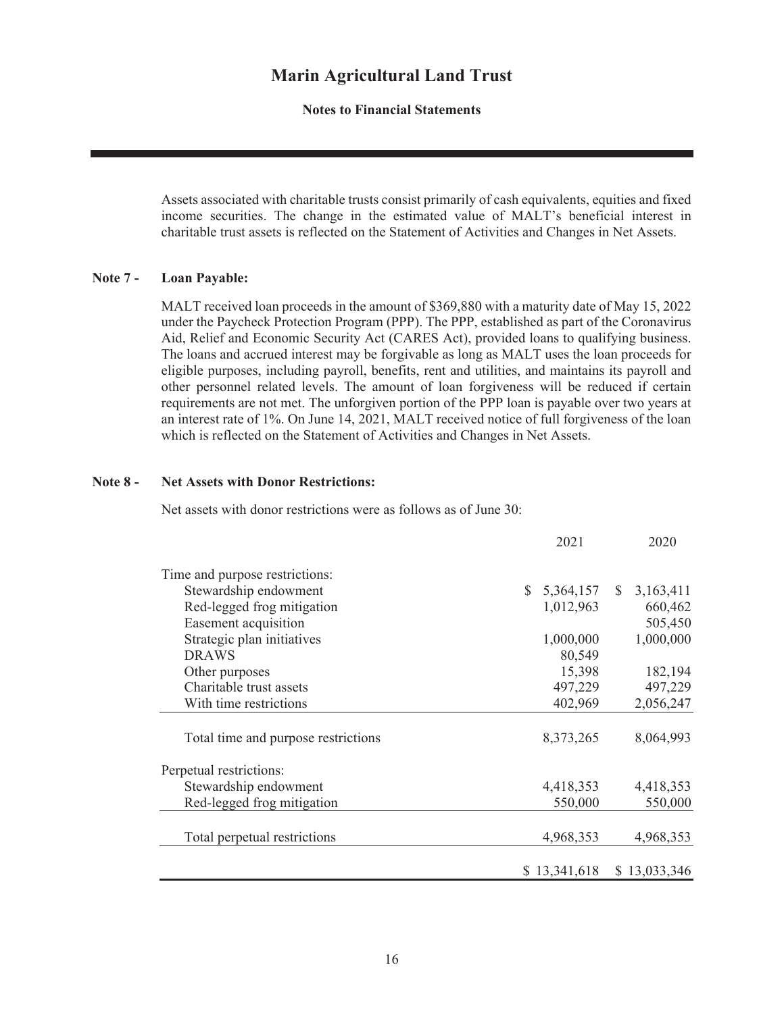**Notes to Financial Statements**

Assets associated with charitable trusts consist primarily of cash equivalents, equities and fixed income securities. The change in the estimated value of MALT's beneficial interest in charitable trust assets is reflected on the Statement of Activities and Changes in Net Assets.

#### **Note 7 - Loan Payable:**

MALT received loan proceeds in the amount of \$369,880 with a maturity date of May 15, 2022 under the Paycheck Protection Program (PPP). The PPP, established as part of the Coronavirus Aid, Relief and Economic Security Act (CARES Act), provided loans to qualifying business. The loans and accrued interest may be forgivable as long as MALT uses the loan proceeds for eligible purposes, including payroll, benefits, rent and utilities, and maintains its payroll and other personnel related levels. The amount of loan forgiveness will be reduced if certain requirements are not met. The unforgiven portion of the PPP loan is payable over two years at an interest rate of 1%. On June 14, 2021, MALT received notice of full forgiveness of the loan which is reflected on the Statement of Activities and Changes in Net Assets.

#### **Note 8 - Net Assets with Donor Restrictions:**

Net assets with donor restrictions were as follows as of June 30:

|                                     |               | 2021         |              | 2020         |
|-------------------------------------|---------------|--------------|--------------|--------------|
| Time and purpose restrictions:      |               |              |              |              |
| Stewardship endowment               | $\mathcal{S}$ | 5,364,157    | <sup>S</sup> | 3,163,411    |
| Red-legged frog mitigation          |               | 1,012,963    |              | 660,462      |
| Easement acquisition                |               |              |              | 505,450      |
| Strategic plan initiatives          |               | 1,000,000    |              | 1,000,000    |
| <b>DRAWS</b>                        |               | 80,549       |              |              |
| Other purposes                      |               | 15,398       |              | 182,194      |
| Charitable trust assets             |               | 497,229      |              | 497,229      |
| With time restrictions              |               | 402,969      |              | 2,056,247    |
|                                     |               |              |              |              |
| Total time and purpose restrictions |               | 8,373,265    |              | 8,064,993    |
| Perpetual restrictions:             |               |              |              |              |
| Stewardship endowment               |               | 4,418,353    |              | 4,418,353    |
| Red-legged frog mitigation          |               | 550,000      |              | 550,000      |
|                                     |               |              |              |              |
| Total perpetual restrictions        |               | 4,968,353    |              | 4,968,353    |
|                                     |               | \$13,341,618 |              | \$13,033,346 |
|                                     |               |              |              |              |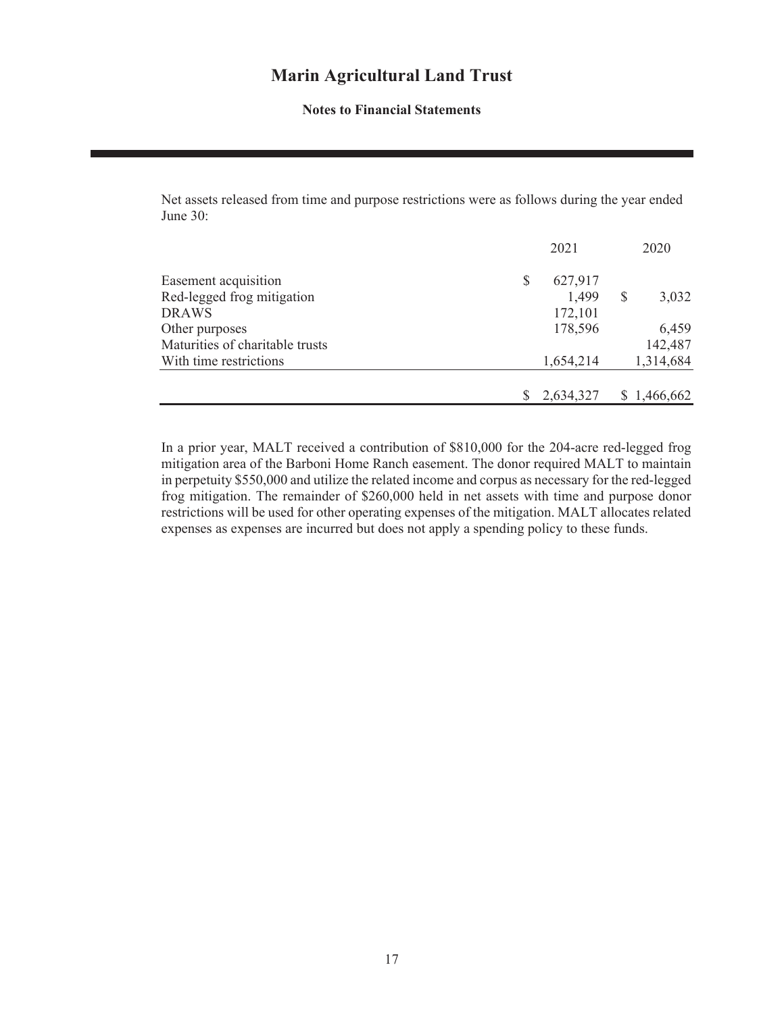#### **Notes to Financial Statements**

Net assets released from time and purpose restrictions were as follows during the year ended June 30:

|                                 |   | 2021      | 2020        |
|---------------------------------|---|-----------|-------------|
| Easement acquisition            | S | 627,917   |             |
| Red-legged frog mitigation      |   | 1,499     | 3,032       |
| <b>DRAWS</b>                    |   | 172,101   |             |
| Other purposes                  |   | 178,596   | 6,459       |
| Maturities of charitable trusts |   |           | 142,487     |
| With time restrictions          |   | 1,654,214 | 1,314,684   |
|                                 |   |           |             |
|                                 |   | 2,634,327 | \$1,466,662 |

In a prior year, MALT received a contribution of \$810,000 for the 204-acre red-legged frog mitigation area of the Barboni Home Ranch easement. The donor required MALT to maintain in perpetuity \$550,000 and utilize the related income and corpus as necessary for the red-legged frog mitigation. The remainder of \$260,000 held in net assets with time and purpose donor restrictions will be used for other operating expenses of the mitigation. MALT allocates related expenses as expenses are incurred but does not apply a spending policy to these funds.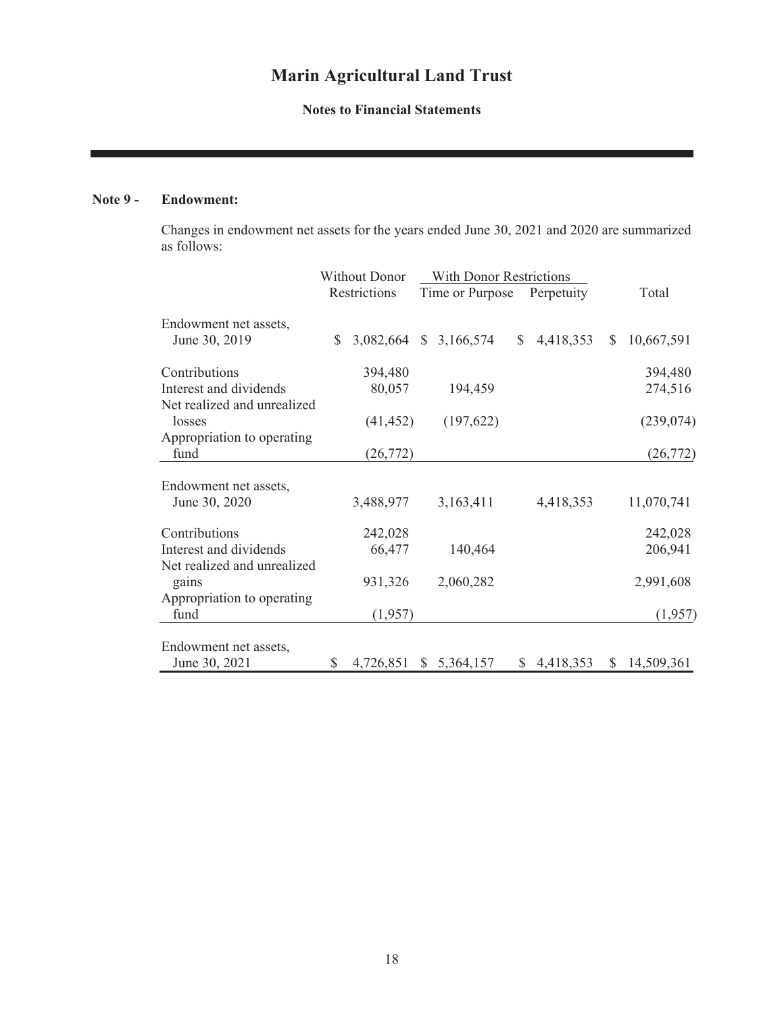### **Notes to Financial Statements**

### **Note 9 - Endowment:**

Changes in endowment net assets for the years ended June 30, 2021 and 2020 are summarized as follows:

|                                        | <b>Without Donor</b> |                        | <b>With Donor Restrictions</b> |                 |    |             |              |              |
|----------------------------------------|----------------------|------------------------|--------------------------------|-----------------|----|-------------|--------------|--------------|
|                                        |                      | Restrictions           |                                | Time or Purpose |    | Perpetuity  |              | Total        |
| Endowment net assets,<br>June 30, 2019 | \$                   | 3,082,664 \$ 3,166,574 |                                |                 | \$ | 4,418,353   | <sup>S</sup> | 10,667,591   |
| Contributions                          |                      | 394,480                |                                |                 |    |             |              | 394,480      |
| Interest and dividends                 |                      | 80,057                 |                                | 194,459         |    |             |              | 274,516      |
| Net realized and unrealized<br>losses  |                      | (41, 452)              |                                | (197, 622)      |    |             |              | (239, 074)   |
| Appropriation to operating<br>fund     |                      | (26, 772)              |                                |                 |    |             |              | (26, 772)    |
| Endowment net assets,                  |                      |                        |                                |                 |    |             |              |              |
| June 30, 2020                          |                      | 3,488,977              |                                | 3,163,411       |    | 4,418,353   |              | 11,070,741   |
| Contributions                          |                      | 242,028                |                                |                 |    |             |              | 242,028      |
| Interest and dividends                 |                      | 66,477                 |                                | 140,464         |    |             |              | 206,941      |
| Net realized and unrealized<br>gains   |                      | 931,326                |                                | 2,060,282       |    |             |              | 2,991,608    |
| Appropriation to operating             |                      |                        |                                |                 |    |             |              |              |
| fund                                   |                      | (1,957)                |                                |                 |    |             |              | (1,957)      |
| Endowment net assets,                  |                      |                        |                                |                 |    |             |              |              |
| June 30, 2021                          | \$                   | 4,726,851              |                                | \$5,364,157     |    | \$4,418,353 |              | \$14,509,361 |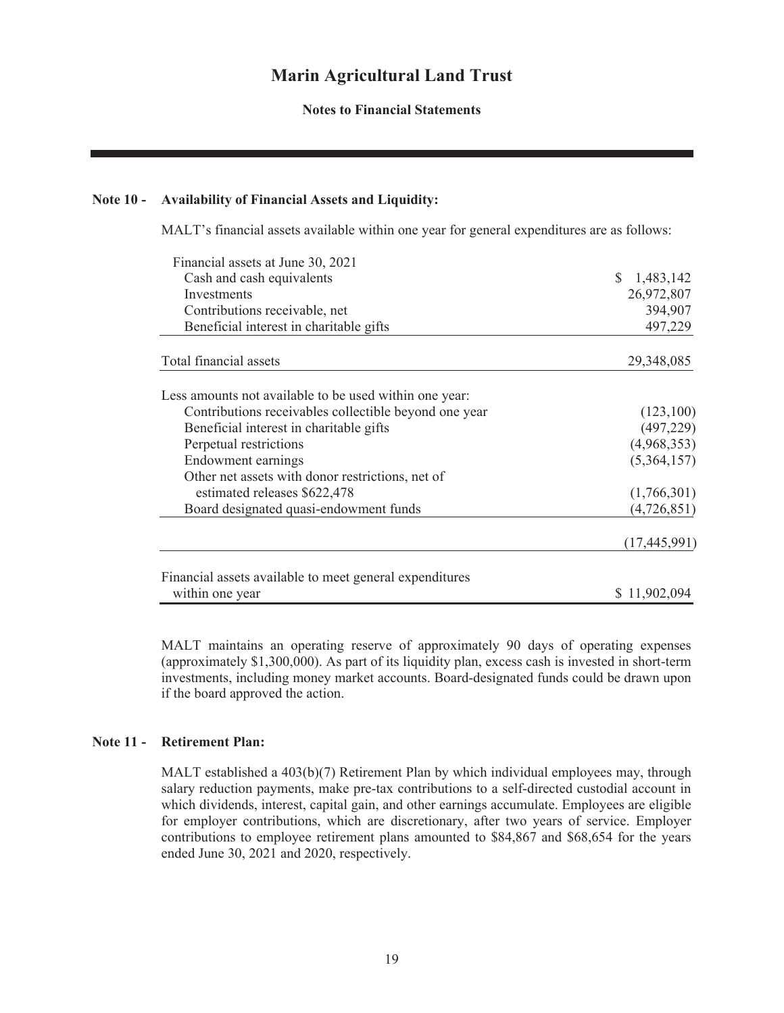**Notes to Financial Statements**

#### **Note 10 - Availability of Financial Assets and Liquidity:**

MALT's financial assets available within one year for general expenditures are as follows:

| Financial assets at June 30, 2021                       |                |
|---------------------------------------------------------|----------------|
| Cash and cash equivalents                               | 1,483,142      |
| Investments                                             | 26,972,807     |
| Contributions receivable, net                           | 394,907        |
| Beneficial interest in charitable gifts                 | 497,229        |
| Total financial assets                                  | 29,348,085     |
| Less amounts not available to be used within one year:  |                |
| Contributions receivables collectible beyond one year   | (123,100)      |
| Beneficial interest in charitable gifts                 | (497, 229)     |
| Perpetual restrictions                                  | (4,968,353)    |
| Endowment earnings                                      | (5,364,157)    |
| Other net assets with donor restrictions, net of        |                |
| estimated releases \$622,478                            | (1,766,301)    |
| Board designated quasi-endowment funds                  | (4,726,851)    |
|                                                         | (17, 445, 991) |
| Financial assets available to meet general expenditures |                |
| within one year                                         | \$11,902,094   |

MALT maintains an operating reserve of approximately 90 days of operating expenses (approximately \$1,300,000). As part of its liquidity plan, excess cash is invested in short-term investments, including money market accounts. Board-designated funds could be drawn upon if the board approved the action.

#### **Note 11 - Retirement Plan:**

MALT established a 403(b)(7) Retirement Plan by which individual employees may, through salary reduction payments, make pre-tax contributions to a self-directed custodial account in which dividends, interest, capital gain, and other earnings accumulate. Employees are eligible for employer contributions, which are discretionary, after two years of service. Employer contributions to employee retirement plans amounted to \$84,867 and \$68,654 for the years ended June 30, 2021 and 2020, respectively.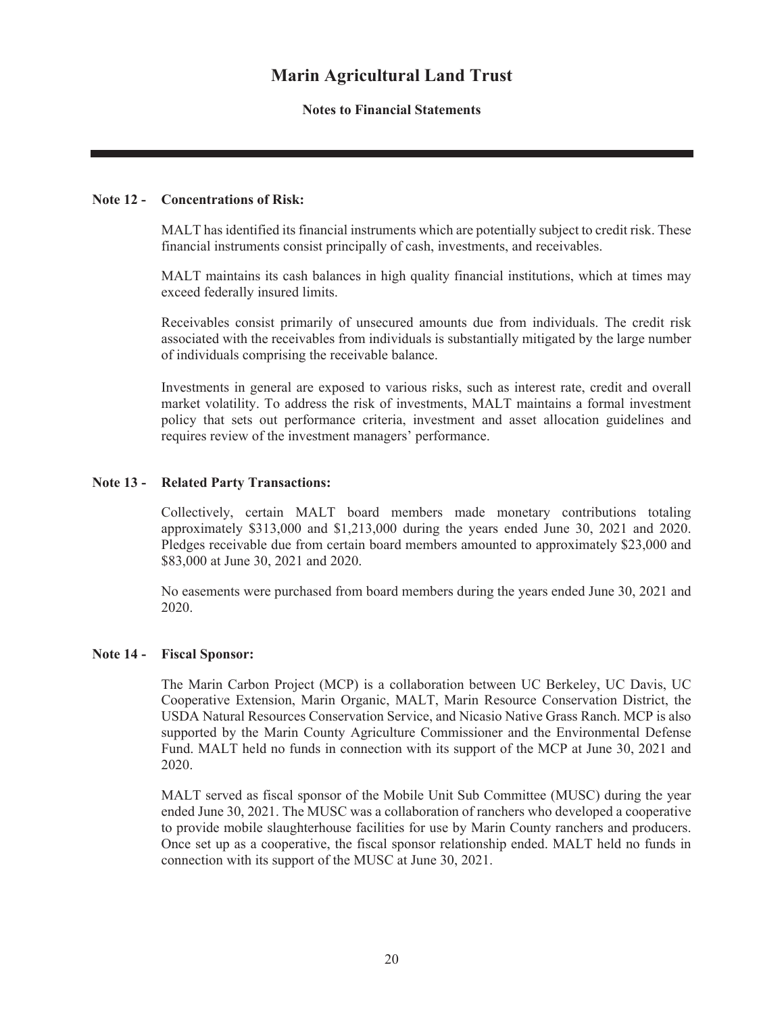#### **Notes to Financial Statements**

#### **Note 12 - Concentrations of Risk:**

MALT has identified its financial instruments which are potentially subject to credit risk. These financial instruments consist principally of cash, investments, and receivables.

MALT maintains its cash balances in high quality financial institutions, which at times may exceed federally insured limits.

Receivables consist primarily of unsecured amounts due from individuals. The credit risk associated with the receivables from individuals is substantially mitigated by the large number of individuals comprising the receivable balance.

Investments in general are exposed to various risks, such as interest rate, credit and overall market volatility. To address the risk of investments, MALT maintains a formal investment policy that sets out performance criteria, investment and asset allocation guidelines and requires review of the investment managers' performance.

#### **Note 13 - Related Party Transactions:**

Collectively, certain MALT board members made monetary contributions totaling approximately \$313,000 and \$1,213,000 during the years ended June 30, 2021 and 2020. Pledges receivable due from certain board members amounted to approximately \$23,000 and \$83,000 at June 30, 2021 and 2020.

No easements were purchased from board members during the years ended June 30, 2021 and 2020.

#### **Note 14 - Fiscal Sponsor:**

The Marin Carbon Project (MCP) is a collaboration between UC Berkeley, UC Davis, UC Cooperative Extension, Marin Organic, MALT, Marin Resource Conservation District, the USDA Natural Resources Conservation Service, and Nicasio Native Grass Ranch. MCP is also supported by the Marin County Agriculture Commissioner and the Environmental Defense Fund. MALT held no funds in connection with its support of the MCP at June 30, 2021 and 2020.

MALT served as fiscal sponsor of the Mobile Unit Sub Committee (MUSC) during the year ended June 30, 2021. The MUSC was a collaboration of ranchers who developed a cooperative to provide mobile slaughterhouse facilities for use by Marin County ranchers and producers. Once set up as a cooperative, the fiscal sponsor relationship ended. MALT held no funds in connection with its support of the MUSC at June 30, 2021.